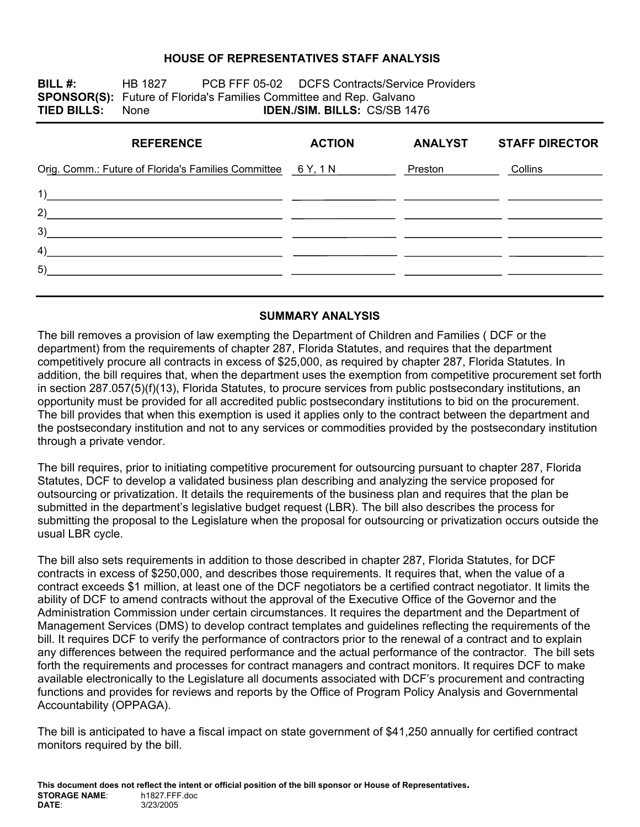#### **HOUSE OF REPRESENTATIVES STAFF ANALYSIS**

**BILL #:** HB 1827 PCB FFF 05-02 DCFS Contracts/Service Providers **SPONSOR(S):** Future of Florida's Families Committee and Rep. Galvano **TIED BILLS:** None **IDEN./SIM. BILLS:** CS/SB 1476

| <b>REFERENCE</b>                                           | <b>ACTION</b> | <b>ANALYST</b> | <b>STAFF DIRECTOR</b> |
|------------------------------------------------------------|---------------|----------------|-----------------------|
| Orig. Comm.: Future of Florida's Families Committee 6Y, 1N |               | Preston        | Collins               |
| 1)                                                         |               |                |                       |
| 2)                                                         |               |                |                       |
| 3)                                                         |               |                |                       |
| 4)                                                         |               |                |                       |
| 5)                                                         |               |                |                       |
|                                                            |               |                |                       |

#### **SUMMARY ANALYSIS**

The bill removes a provision of law exempting the Department of Children and Families ( DCF or the department) from the requirements of chapter 287, Florida Statutes, and requires that the department competitively procure all contracts in excess of \$25,000, as required by chapter 287, Florida Statutes. In addition, the bill requires that, when the department uses the exemption from competitive procurement set forth in section 287.057(5)(f)(13), Florida Statutes, to procure services from public postsecondary institutions, an opportunity must be provided for all accredited public postsecondary institutions to bid on the procurement. The bill provides that when this exemption is used it applies only to the contract between the department and the postsecondary institution and not to any services or commodities provided by the postsecondary institution through a private vendor.

The bill requires, prior to initiating competitive procurement for outsourcing pursuant to chapter 287, Florida Statutes, DCF to develop a validated business plan describing and analyzing the service proposed for outsourcing or privatization. It details the requirements of the business plan and requires that the plan be submitted in the department's legislative budget request (LBR). The bill also describes the process for submitting the proposal to the Legislature when the proposal for outsourcing or privatization occurs outside the usual LBR cycle.

The bill also sets requirements in addition to those described in chapter 287, Florida Statutes, for DCF contracts in excess of \$250,000, and describes those requirements. It requires that, when the value of a contract exceeds \$1 million, at least one of the DCF negotiators be a certified contract negotiator. It limits the ability of DCF to amend contracts without the approval of the Executive Office of the Governor and the Administration Commission under certain circumstances. It requires the department and the Department of Management Services (DMS) to develop contract templates and guidelines reflecting the requirements of the bill. It requires DCF to verify the performance of contractors prior to the renewal of a contract and to explain any differences between the required performance and the actual performance of the contractor. The bill sets forth the requirements and processes for contract managers and contract monitors. It requires DCF to make available electronically to the Legislature all documents associated with DCF's procurement and contracting functions and provides for reviews and reports by the Office of Program Policy Analysis and Governmental Accountability (OPPAGA).

The bill is anticipated to have a fiscal impact on state government of \$41,250 annually for certified contract monitors required by the bill.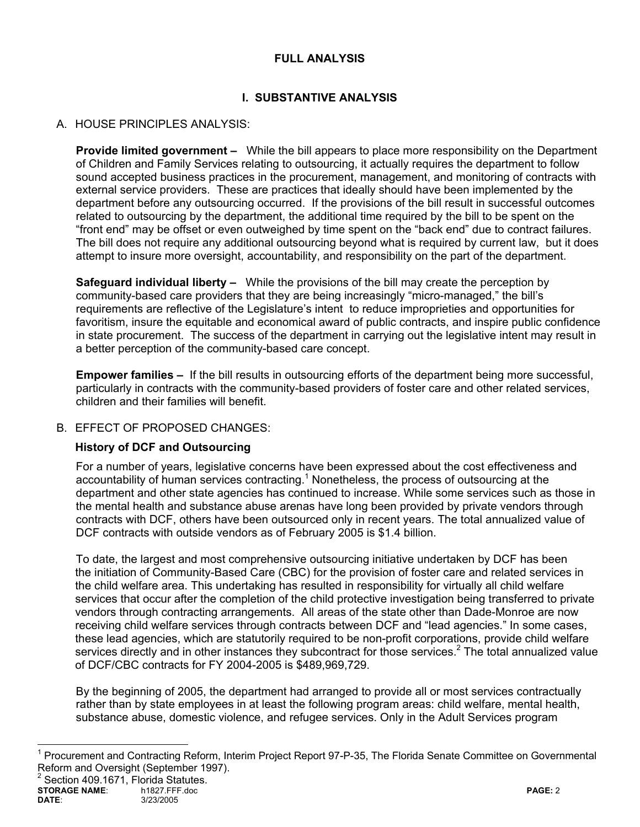## **FULL ANALYSIS**

# **I. SUBSTANTIVE ANALYSIS**

## A. HOUSE PRINCIPLES ANALYSIS:

**Provide limited government –** While the bill appears to place more responsibility on the Department of Children and Family Services relating to outsourcing, it actually requires the department to follow sound accepted business practices in the procurement, management, and monitoring of contracts with external service providers. These are practices that ideally should have been implemented by the department before any outsourcing occurred. If the provisions of the bill result in successful outcomes related to outsourcing by the department, the additional time required by the bill to be spent on the "front end" may be offset or even outweighed by time spent on the "back end" due to contract failures. The bill does not require any additional outsourcing beyond what is required by current law, but it does attempt to insure more oversight, accountability, and responsibility on the part of the department.

**Safeguard individual liberty –** While the provisions of the bill may create the perception by community-based care providers that they are being increasingly "micro-managed," the bill's requirements are reflective of the Legislature's intent to reduce improprieties and opportunities for favoritism, insure the equitable and economical award of public contracts, and inspire public confidence in state procurement. The success of the department in carrying out the legislative intent may result in a better perception of the community-based care concept.

**Empower families –** If the bill results in outsourcing efforts of the department being more successful, particularly in contracts with the community-based providers of foster care and other related services, children and their families will benefit.

## B. FFFECT OF PROPOSED CHANGES:

## **History of DCF and Outsourcing**

For a number of years, legislative concerns have been expressed about the cost effectiveness and accountability of human services contracting.<sup>1</sup> Nonetheless, the process of outsourcing at the department and other state agencies has continued to increase. While some services such as those in the mental health and substance abuse arenas have long been provided by private vendors through contracts with DCF, others have been outsourced only in recent years. The total annualized value of DCF contracts with outside vendors as of February 2005 is \$1.4 billion.

To date, the largest and most comprehensive outsourcing initiative undertaken by DCF has been the initiation of Community-Based Care (CBC) for the provision of foster care and related services in the child welfare area. This undertaking has resulted in responsibility for virtually all child welfare services that occur after the completion of the child protective investigation being transferred to private vendors through contracting arrangements. All areas of the state other than Dade-Monroe are now receiving child welfare services through contracts between DCF and "lead agencies." In some cases, these lead agencies, which are statutorily required to be non-profit corporations, provide child welfare services directly and in other instances they subcontract for those services.<sup>2</sup> The total annualized value of DCF/CBC contracts for FY 2004-2005 is \$489,969,729.

By the beginning of 2005, the department had arranged to provide all or most services contractually rather than by state employees in at least the following program areas: child welfare, mental health, substance abuse, domestic violence, and refugee services. Only in the Adult Services program

**STORAGE NAME**: h1827.FFF.doc **PAGE:** 2 **DATE**: 3/23/2005 <sup>2</sup> Section 409.1671, Florida Statutes.

 $\overline{a}$ 

<sup>&</sup>lt;sup>1</sup> Procurement and Contracting Reform, Interim Project Report 97-P-35, The Florida Senate Committee on Governmental Reform and Oversight (September 1997).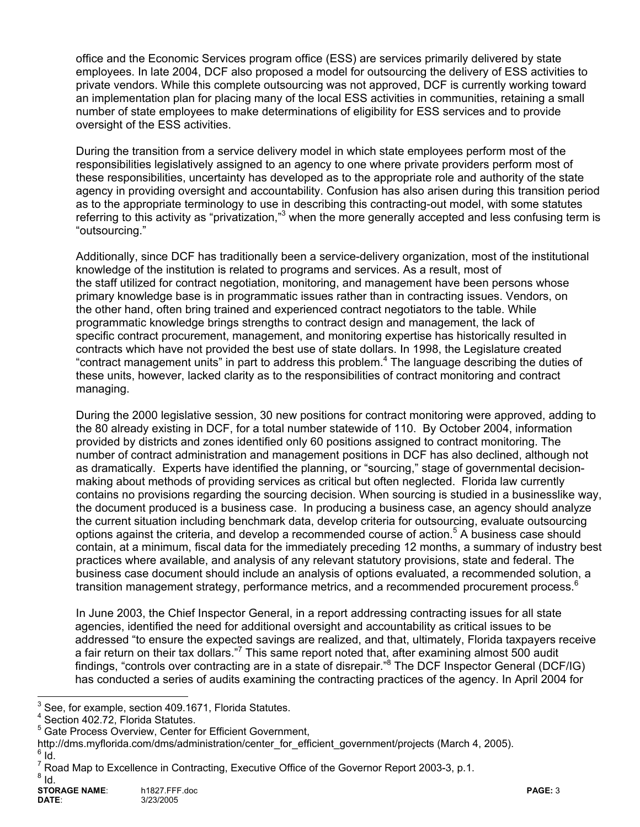office and the Economic Services program office (ESS) are services primarily delivered by state employees. In late 2004, DCF also proposed a model for outsourcing the delivery of ESS activities to private vendors. While this complete outsourcing was not approved, DCF is currently working toward an implementation plan for placing many of the local ESS activities in communities, retaining a small number of state employees to make determinations of eligibility for ESS services and to provide oversight of the ESS activities.

During the transition from a service delivery model in which state employees perform most of the responsibilities legislatively assigned to an agency to one where private providers perform most of these responsibilities, uncertainty has developed as to the appropriate role and authority of the state agency in providing oversight and accountability. Confusion has also arisen during this transition period as to the appropriate terminology to use in describing this contracting-out model, with some statutes referring to this activity as "privatization,"<sup>3</sup> when the more generally accepted and less confusing term is "outsourcing."

Additionally, since DCF has traditionally been a service-delivery organization, most of the institutional knowledge of the institution is related to programs and services. As a result, most of the staff utilized for contract negotiation, monitoring, and management have been persons whose primary knowledge base is in programmatic issues rather than in contracting issues. Vendors, on the other hand, often bring trained and experienced contract negotiators to the table. While programmatic knowledge brings strengths to contract design and management, the lack of specific contract procurement, management, and monitoring expertise has historically resulted in contracts which have not provided the best use of state dollars. In 1998, the Legislature created "contract management units" in part to address this problem.<sup>4</sup> The language describing the duties of these units, however, lacked clarity as to the responsibilities of contract monitoring and contract managing.

During the 2000 legislative session, 30 new positions for contract monitoring were approved, adding to the 80 already existing in DCF, for a total number statewide of 110. By October 2004, information provided by districts and zones identified only 60 positions assigned to contract monitoring. The number of contract administration and management positions in DCF has also declined, although not as dramatically. Experts have identified the planning, or "sourcing," stage of governmental decisionmaking about methods of providing services as critical but often neglected. Florida law currently contains no provisions regarding the sourcing decision. When sourcing is studied in a businesslike way, the document produced is a business case. In producing a business case, an agency should analyze the current situation including benchmark data, develop criteria for outsourcing, evaluate outsourcing options against the criteria, and develop a recommended course of action.<sup>5</sup> A business case should contain, at a minimum, fiscal data for the immediately preceding 12 months, a summary of industry best practices where available, and analysis of any relevant statutory provisions, state and federal. The business case document should include an analysis of options evaluated, a recommended solution, a transition management strategy, performance metrics, and a recommended procurement process.<sup>6</sup>

In June 2003, the Chief Inspector General, in a report addressing contracting issues for all state agencies, identified the need for additional oversight and accountability as critical issues to be addressed "to ensure the expected savings are realized, and that, ultimately, Florida taxpayers receive a fair return on their tax dollars."<sup>7</sup> This same report noted that, after examining almost 500 audit findings, "controls over contracting are in a state of disrepair." The DCF Inspector General (DCF/IG) has conducted a series of audits examining the contracting practices of the agency. In April 2004 for

 3 See, for example, section 409.1671, Florida Statutes.

<sup>4</sup> Section 402.72, Florida Statutes.

<sup>&</sup>lt;sup>5</sup> Gate Process Overview, Center for Efficient Government,

http://dms.myflorida.com/dms/administration/center\_for\_efficient\_government/projects (March 4, 2005).  $6$  Id.

 $^7$  Road Map to Excellence in Contracting, Executive Office of the Governor Report 2003-3, p.1.<br><sup>8</sup> Jd  $8$ Id.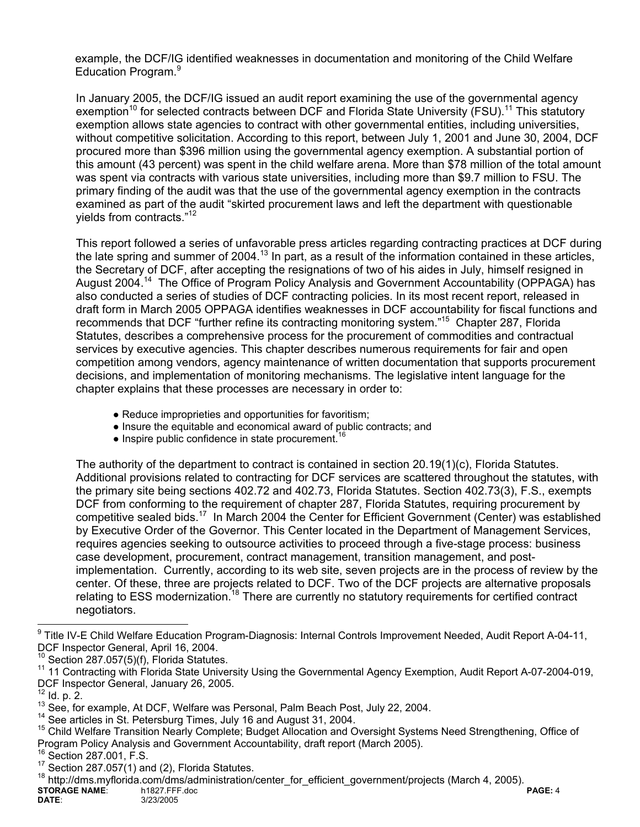example, the DCF/IG identified weaknesses in documentation and monitoring of the Child Welfare Education Program.<sup>9</sup>

In January 2005, the DCF/IG issued an audit report examining the use of the governmental agency exemption<sup>10</sup> for selected contracts between DCF and Florida State University (FSU).<sup>11</sup> This statutory exemption allows state agencies to contract with other governmental entities, including universities, without competitive solicitation. According to this report, between July 1, 2001 and June 30, 2004, DCF procured more than \$396 million using the governmental agency exemption. A substantial portion of this amount (43 percent) was spent in the child welfare arena. More than \$78 million of the total amount was spent via contracts with various state universities, including more than \$9.7 million to FSU. The primary finding of the audit was that the use of the governmental agency exemption in the contracts examined as part of the audit "skirted procurement laws and left the department with questionable yields from contracts."12

This report followed a series of unfavorable press articles regarding contracting practices at DCF during the late spring and summer of 2004.<sup>13</sup> In part, as a result of the information contained in these articles, the Secretary of DCF, after accepting the resignations of two of his aides in July, himself resigned in August 2004.14 The Office of Program Policy Analysis and Government Accountability (OPPAGA) has also conducted a series of studies of DCF contracting policies. In its most recent report, released in draft form in March 2005 OPPAGA identifies weaknesses in DCF accountability for fiscal functions and recommends that DCF "further refine its contracting monitoring system."15 Chapter 287, Florida Statutes, describes a comprehensive process for the procurement of commodities and contractual services by executive agencies. This chapter describes numerous requirements for fair and open competition among vendors, agency maintenance of written documentation that supports procurement decisions, and implementation of monitoring mechanisms. The legislative intent language for the chapter explains that these processes are necessary in order to:

- Reduce improprieties and opportunities for favoritism;
- Insure the equitable and economical award of public contracts; and
- $\bullet$  Inspire public confidence in state procurement.<sup>16</sup>

The authority of the department to contract is contained in section 20.19(1)(c), Florida Statutes. Additional provisions related to contracting for DCF services are scattered throughout the statutes, with the primary site being sections 402.72 and 402.73, Florida Statutes. Section 402.73(3), F.S., exempts DCF from conforming to the requirement of chapter 287, Florida Statutes, requiring procurement by competitive sealed bids.17 In March 2004 the Center for Efficient Government (Center) was established by Executive Order of the Governor. This Center located in the Department of Management Services, requires agencies seeking to outsource activities to proceed through a five-stage process: business case development, procurement, contract management, transition management, and postimplementation. Currently, according to its web site, seven projects are in the process of review by the center. Of these, three are projects related to DCF. Two of the DCF projects are alternative proposals relating to ESS modernization.<sup>18</sup> There are currently no statutory requirements for certified contract negotiators.

<sup>18</sup> http://dms.myflorida.com/dms/administration/center\_for\_efficient\_government/projects (March 4, 2005).

**STORAGE NAME:** h1827.FFF.doc **PAGE: 4**<br>DATE: 3/23/2005 3/23/2005

<sup>&</sup>lt;sup>9</sup> Title IV-E Child Welfare Education Program-Diagnosis: Internal Controls Improvement Needed, Audit Report A-04-11, DCF Inspector General, April 16, 2004.

Section 287.057(5)(f), Florida Statutes.

<sup>&</sup>lt;sup>11</sup> 11 Contracting with Florida State University Using the Governmental Agency Exemption, Audit Report A-07-2004-019, DCF Inspector General, January 26, 2005.<br><sup>12</sup> Id. p. 2.

<sup>&</sup>lt;sup>13</sup> See, for example, At DCF, Welfare was Personal, Palm Beach Post, July 22, 2004.<br><sup>14</sup> See articles in St. Petersburg Times, July 16 and August 31, 2004.<br><sup>15</sup> Child Welfare Transition Nearly Complete; Budget Allocation Program Policy Analysis and Government Accountability, draft report (March 2005).<br><sup>16</sup> Section 287.001, F.S.<br><sup>17</sup> Section 287.057(1) and (2), Florida Statutes.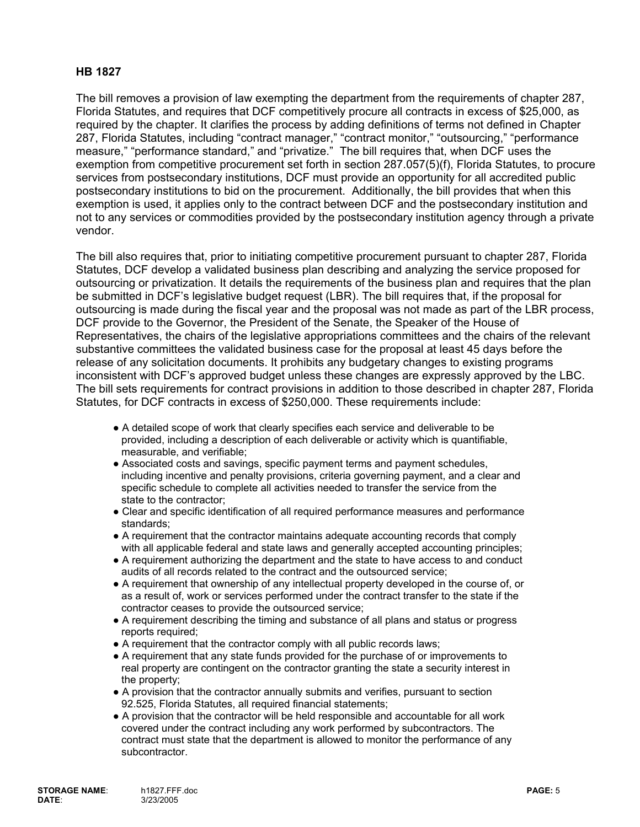## **HB 1827**

The bill removes a provision of law exempting the department from the requirements of chapter 287, Florida Statutes, and requires that DCF competitively procure all contracts in excess of \$25,000, as required by the chapter. It clarifies the process by adding definitions of terms not defined in Chapter 287, Florida Statutes, including "contract manager," "contract monitor," "outsourcing," "performance measure," "performance standard," and "privatize." The bill requires that, when DCF uses the exemption from competitive procurement set forth in section 287.057(5)(f), Florida Statutes, to procure services from postsecondary institutions, DCF must provide an opportunity for all accredited public postsecondary institutions to bid on the procurement. Additionally, the bill provides that when this exemption is used, it applies only to the contract between DCF and the postsecondary institution and not to any services or commodities provided by the postsecondary institution agency through a private vendor.

The bill also requires that, prior to initiating competitive procurement pursuant to chapter 287, Florida Statutes, DCF develop a validated business plan describing and analyzing the service proposed for outsourcing or privatization. It details the requirements of the business plan and requires that the plan be submitted in DCF's legislative budget request (LBR). The bill requires that, if the proposal for outsourcing is made during the fiscal year and the proposal was not made as part of the LBR process, DCF provide to the Governor, the President of the Senate, the Speaker of the House of Representatives, the chairs of the legislative appropriations committees and the chairs of the relevant substantive committees the validated business case for the proposal at least 45 days before the release of any solicitation documents. It prohibits any budgetary changes to existing programs inconsistent with DCF's approved budget unless these changes are expressly approved by the LBC. The bill sets requirements for contract provisions in addition to those described in chapter 287, Florida Statutes, for DCF contracts in excess of \$250,000. These requirements include:

- A detailed scope of work that clearly specifies each service and deliverable to be provided, including a description of each deliverable or activity which is quantifiable, measurable, and verifiable;
- Associated costs and savings, specific payment terms and payment schedules, including incentive and penalty provisions, criteria governing payment, and a clear and specific schedule to complete all activities needed to transfer the service from the state to the contractor;
- Clear and specific identification of all required performance measures and performance standards;
- A requirement that the contractor maintains adequate accounting records that comply with all applicable federal and state laws and generally accepted accounting principles;
- A requirement authorizing the department and the state to have access to and conduct audits of all records related to the contract and the outsourced service;
- A requirement that ownership of any intellectual property developed in the course of, or as a result of, work or services performed under the contract transfer to the state if the contractor ceases to provide the outsourced service;
- A requirement describing the timing and substance of all plans and status or progress reports required;
- A requirement that the contractor comply with all public records laws;
- A requirement that any state funds provided for the purchase of or improvements to real property are contingent on the contractor granting the state a security interest in the property;
- A provision that the contractor annually submits and verifies, pursuant to section 92.525, Florida Statutes, all required financial statements;
- A provision that the contractor will be held responsible and accountable for all work covered under the contract including any work performed by subcontractors. The contract must state that the department is allowed to monitor the performance of any subcontractor.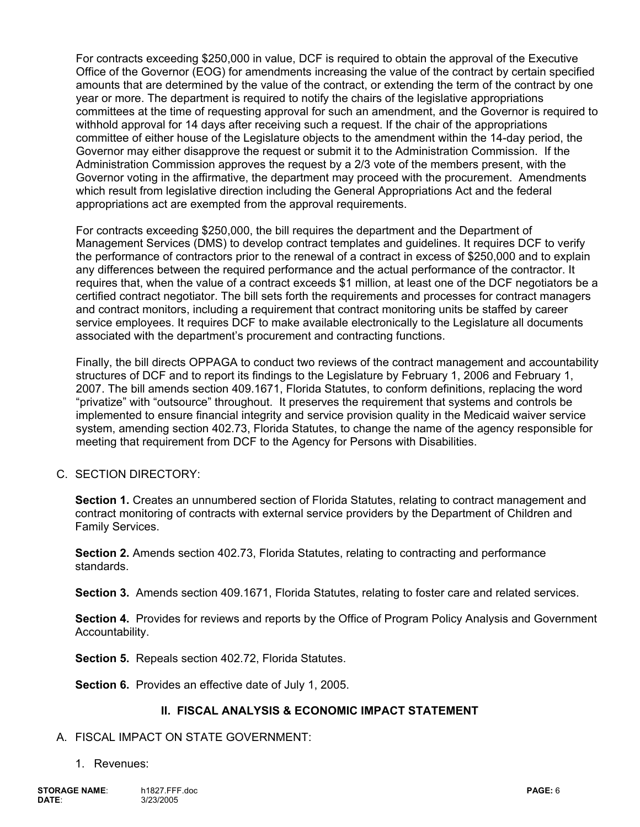For contracts exceeding \$250,000 in value, DCF is required to obtain the approval of the Executive Office of the Governor (EOG) for amendments increasing the value of the contract by certain specified amounts that are determined by the value of the contract, or extending the term of the contract by one year or more. The department is required to notify the chairs of the legislative appropriations committees at the time of requesting approval for such an amendment, and the Governor is required to withhold approval for 14 days after receiving such a request. If the chair of the appropriations committee of either house of the Legislature objects to the amendment within the 14-day period, the Governor may either disapprove the request or submit it to the Administration Commission. If the Administration Commission approves the request by a 2/3 vote of the members present, with the Governor voting in the affirmative, the department may proceed with the procurement. Amendments which result from legislative direction including the General Appropriations Act and the federal appropriations act are exempted from the approval requirements.

For contracts exceeding \$250,000, the bill requires the department and the Department of Management Services (DMS) to develop contract templates and guidelines. It requires DCF to verify the performance of contractors prior to the renewal of a contract in excess of \$250,000 and to explain any differences between the required performance and the actual performance of the contractor. It requires that, when the value of a contract exceeds \$1 million, at least one of the DCF negotiators be a certified contract negotiator. The bill sets forth the requirements and processes for contract managers and contract monitors, including a requirement that contract monitoring units be staffed by career service employees. It requires DCF to make available electronically to the Legislature all documents associated with the department's procurement and contracting functions.

Finally, the bill directs OPPAGA to conduct two reviews of the contract management and accountability structures of DCF and to report its findings to the Legislature by February 1, 2006 and February 1, 2007. The bill amends section 409.1671, Florida Statutes, to conform definitions, replacing the word "privatize" with "outsource" throughout. It preserves the requirement that systems and controls be implemented to ensure financial integrity and service provision quality in the Medicaid waiver service system, amending section 402.73, Florida Statutes, to change the name of the agency responsible for meeting that requirement from DCF to the Agency for Persons with Disabilities.

C. SECTION DIRECTORY:

**Section 1.** Creates an unnumbered section of Florida Statutes, relating to contract management and contract monitoring of contracts with external service providers by the Department of Children and Family Services.

**Section 2.** Amends section 402.73, Florida Statutes, relating to contracting and performance standards.

 **Section 3.** Amends section 409.1671, Florida Statutes, relating to foster care and related services.

**Section 4.** Provides for reviews and reports by the Office of Program Policy Analysis and Government Accountability.

 **Section 5.** Repeals section 402.72, Florida Statutes.

**Section 6.** Provides an effective date of July 1, 2005.

#### **II. FISCAL ANALYSIS & ECONOMIC IMPACT STATEMENT**

- A. FISCAL IMPACT ON STATE GOVERNMENT:
	- 1. Revenues: